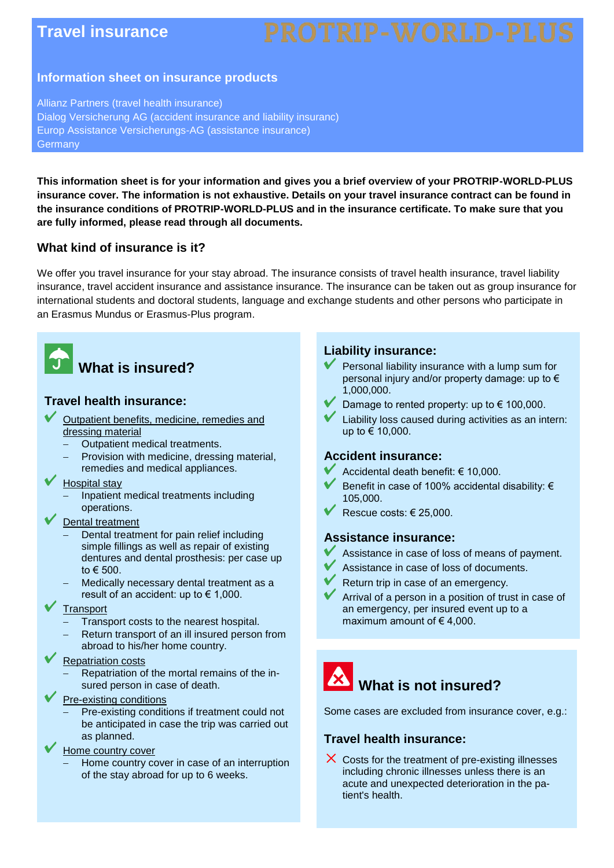## **Travel insurance**

#### **Information sheet on insurance products**

Allianz Partners (travel health insurance) Dialog Versicherung AG (accident insurance and liability insuranc) Europ Assistance Versicherungs-AG (assistance insurance) **Germany** 

**This information sheet is for your information and gives you a brief overview of your PROTRIP-WORLD-PLUS insurance cover. The information is not exhaustive. Details on your travel insurance contract can be found in the insurance conditions of PROTRIP-WORLD-PLUS and in the insurance certificate. To make sure that you are fully informed, please read through all documents.**

#### **What kind of insurance is it?**

We offer you travel insurance for your stay abroad. The insurance consists of travel health insurance, travel liability insurance, travel accident insurance and assistance insurance. The insurance can be taken out as group insurance for international students and doctoral students, language and exchange students and other persons who participate in an Erasmus Mundus or Erasmus-Plus program.



# **What is insured?**

### **Travel health insurance:**

- Outpatient benefits, medicine, remedies and dressing material
	- Outpatient medical treatments.
	- Provision with medicine, dressing material,
	- remedies and medical appliances.
- Hospital stay
	- Inpatient medical treatments including operations.
- Dental treatment
	- Dental treatment for pain relief including simple fillings as well as repair of existing dentures and dental prosthesis: per case up to € 500.
	- Medically necessary dental treatment as a result of an accident: up to  $\in$  1,000.
- **Transport** 
	- Transport costs to the nearest hospital.
	- Return transport of an ill insured person from abroad to his/her home country.

#### Repatriation costs

- Repatriation of the mortal remains of the insured person in case of death.
- Pre-existing conditions
	- Pre-existing conditions if treatment could not be anticipated in case the trip was carried out as planned.
- Home country cover
	- Home country cover in case of an interruption of the stay abroad for up to 6 weeks.

#### **Liability insurance:**

- Personal liability insurance with a lump sum for personal injury and/or property damage: up to € 1,000,000.
- Damage to rented property: up to € 100,000.
- Liability loss caused during activities as an intern: up to € 10,000.

#### **Accident insurance:**

- Accidental death benefit: € 10,000.
- Benefit in case of 100% accidental disability: € 105,000.
- Rescue costs: € 25,000.

#### **Assistance insurance:**

- Assistance in case of loss of means of payment.
- Assistance in case of loss of documents.
- Return trip in case of an emergency.
- Arrival of a person in a position of trust in case of an emergency, per insured event up to a maximum amount of  $\epsilon$  4,000.



Some cases are excluded from insurance cover, e.g.:

#### **Travel health insurance:**

 $\times$  Costs for the treatment of pre-existing illnesses including chronic illnesses unless there is an acute and unexpected deterioration in the patient's health.